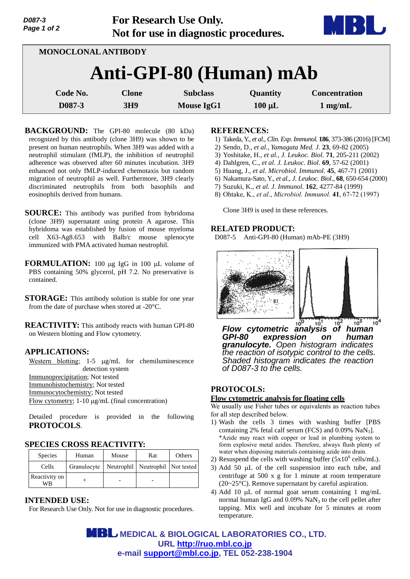| Page 1 of 2             | <b>U</b> |                 |                   |             |                      |  |  |  |  |
|-------------------------|----------|-----------------|-------------------|-------------|----------------------|--|--|--|--|
| MONOCLONAL ANTIBODY     |          |                 |                   |             |                      |  |  |  |  |
| Anti-GPI-80 (Human) mAb |          |                 |                   |             |                      |  |  |  |  |
|                         | Code No. | <b>Clone</b>    | <b>Subclass</b>   | Quantity    | <b>Concentration</b> |  |  |  |  |
| D087-3                  |          | 3H <sub>9</sub> | <b>Mouse IgG1</b> | $100 \mu L$ | $1$ mg/mL            |  |  |  |  |

**For Research Use Only.**

**BACKGROUND:** The GPI-80 molecule (80 kDa) recognized by this antibody (clone 3H9) was shown to be present on human neutrophils. When 3H9 was added with a neutrophil stimulant (fMLP), the inhibition of neutrophil adherence was observed after 60 minutes incubation. 3H9 enhanced not only fMLP-induced chemotaxis but random migration of neutrophil as well. Furthermore, 3H9 clearly discriminated neutrophils from both basophils and eosinophils derived from humans.

**SOURCE:** This antibody was purified from hybridoma (clone 3H9) supernatant using protein A agarose. This hybridoma was established by fusion of mouse myeloma cell X63-Ag8.653 with Balb/c mouse splenocyte immunized with PMA activated human neutrophil.

**FORMULATION:** 100 µg IgG in 100 µL volume of PBS containing 50% glycerol, pH 7.2. No preservative is contained.

**STORAGE:** This antibody solution is stable for one year from the date of purchase when stored at -20°C.

**REACTIVITY:** This antibody reacts with human GPI-80 on Western blotting and Flow cytometry.

## **APPLICATIONS:**

*D087-3*

Western blotting;  $1-5 \mu g/mL$  for chemiluminescence detection system Immunoprecipitation; Not tested Immunohistochemistry; Not tested Immunocytochemistry; Not tested Flow cytometry;  $1-10 \mu g/mL$  (final concentration)

Detailed procedure is provided in the following **PROTOCOLS**.

### **SPECIES CROSS REACTIVITY:**

| <b>Species</b>      | Human       | Mouse | Rat                              | Others |
|---------------------|-------------|-------|----------------------------------|--------|
| Cells               | Granulocyte |       | Neutrophil Neutrophil Not tested |        |
| Reactivity on<br>WВ |             |       |                                  |        |

# **INTENDED USE:**

For Research Use Only. Not for use in diagnostic procedures.

#### **REFERENCES:**

- 1) Takeda, Y., *et al., Clin. Exp. Immunol.* **186**, 373-386 (2016) [FCM]
- 2) Sendo, D., *et al., Yamagata Med. J*. **23**, 69-82 (2005)
- 3) Yoshitake, H., *et al., J. Leukoc. Biol.* **71**, 205-211 (2002)
- 4) Dahlgren, C., *et al*. *J. Leukoc. Biol.* **69**, 57-62 (2001)
- 5) Huang, J., *et al*. *Microbiol. Immunol.* **45**, 467-71 (2001)
- 6) Nakamura-Sato, Y., *et al., J. Leukoc. Biol*., **68**, 650-654 (2000)
- 7) Suzuki, K., *et al. J. Immunol.* **162**, 4277-84 (1999)
- 8) Ohtake, K., *et al*., *Microbiol. Immunol.* **41**, 67-72 (1997)

Clone 3H9 is used in these references.

### **RELATED PRODUCT:**

D087-5 Anti-GPI-80 (Human) mAb-PE (3H9)



*Flow cytometric analysis of human GPI-80 expression on human granulocyte. Open histogram indicates the reaction of isotypic control to the cells. Shaded histogram indicates the reaction of D087-3 to the cells.*

## **PROTOCOLS:**

#### **Flow cytometric analysis for floating cells**

We usually use Fisher tubes or equivalents as reaction tubes for all step described below.

- 1) Wash the cells 3 times with washing buffer [PBS containing 2% fetal calf serum (FCS) and 0.09% NaN3]. \*Azide may react with copper or lead in plumbing system to form explosive metal azides. Therefore, always flush plenty of water when disposing materials containing azide into drain.
- 2) Resuspend the cells with washing buffer  $(5x10^6 \text{ cells/mL})$ .
- 3) Add 50  $\mu$ L of the cell suspension into each tube, and centrifuge at 500 x g for 1 minute at room temperature (20~25°C). Remove supernatant by careful aspiration.
- 4) Add 10  $\mu$ L of normal goat serum containing 1 mg/mL normal human IgG and  $0.09\%$  NaN<sub>3</sub> to the cell pellet after tapping. Mix well and incubate for 5 minutes at room temperature.

 **MEDICAL & BIOLOGICAL LABORATORIES CO., LTD. URL [http://ruo.mbl.co.jp](http://ruo.mbl.co.jp/) e-mail [support@mbl.co.jp,](mailto:support@mbl.co.jp) TEL 052-238-1904**